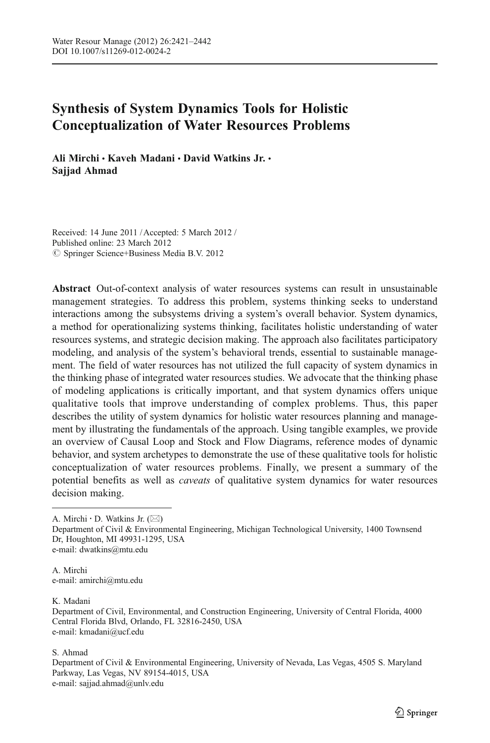# Synthesis of System Dynamics Tools for Holistic Conceptualization of Water Resources Problems

Ali Mirchi • Kaveh Madani • David Watkins Jr. • Sajjad Ahmad

Received: 14 June 2011 / Accepted: 5 March 2012 / Published online: 23 March 2012 © Springer Science+Business Media B.V. 2012

Abstract Out-of-context analysis of water resources systems can result in unsustainable management strategies. To address this problem, systems thinking seeks to understand interactions among the subsystems driving a system's overall behavior. System dynamics, a method for operationalizing systems thinking, facilitates holistic understanding of water resources systems, and strategic decision making. The approach also facilitates participatory modeling, and analysis of the system's behavioral trends, essential to sustainable management. The field of water resources has not utilized the full capacity of system dynamics in the thinking phase of integrated water resources studies. We advocate that the thinking phase of modeling applications is critically important, and that system dynamics offers unique qualitative tools that improve understanding of complex problems. Thus, this paper describes the utility of system dynamics for holistic water resources planning and management by illustrating the fundamentals of the approach. Using tangible examples, we provide an overview of Causal Loop and Stock and Flow Diagrams, reference modes of dynamic behavior, and system archetypes to demonstrate the use of these qualitative tools for holistic conceptualization of water resources problems. Finally, we present a summary of the potential benefits as well as caveats of qualitative system dynamics for water resources decision making.

A. Mirchi  $\cdot$  D. Watkins Jr. ( $\boxtimes$ )

Department of Civil & Environmental Engineering, Michigan Technological University, 1400 Townsend Dr, Houghton, MI 49931-1295, USA e-mail: dwatkins@mtu.edu

A. Mirchi e-mail: amirchi@mtu.edu

K. Madani

Department of Civil, Environmental, and Construction Engineering, University of Central Florida, 4000 Central Florida Blvd, Orlando, FL 32816-2450, USA e-mail: kmadani@ucf.edu

S. Ahmad

Department of Civil & Environmental Engineering, University of Nevada, Las Vegas, 4505 S. Maryland Parkway, Las Vegas, NV 89154-4015, USA e-mail: sajjad.ahmad@unlv.edu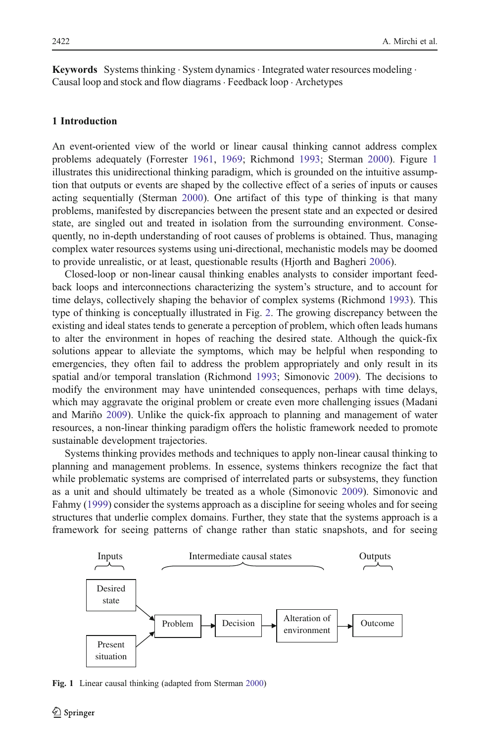**Keywords** Systems thinking  $\cdot$  System dynamics  $\cdot$  Integrated water resources modeling  $\cdot$ Causal loop and stock and flow diagrams . Feedback loop . Archetypes

### 1 Introduction

An event-oriented view of the world or linear causal thinking cannot address complex problems adequately (Forrester [1961,](#page-19-0) [1969;](#page-19-0) Richmond [1993](#page-20-0); Sterman [2000](#page-21-0)). Figure 1 illustrates this unidirectional thinking paradigm, which is grounded on the intuitive assumption that outputs or events are shaped by the collective effect of a series of inputs or causes acting sequentially (Sterman [2000](#page-21-0)). One artifact of this type of thinking is that many problems, manifested by discrepancies between the present state and an expected or desired state, are singled out and treated in isolation from the surrounding environment. Consequently, no in-depth understanding of root causes of problems is obtained. Thus, managing complex water resources systems using uni-directional, mechanistic models may be doomed to provide unrealistic, or at least, questionable results (Hjorth and Bagheri [2006](#page-20-0)).

Closed-loop or non-linear causal thinking enables analysts to consider important feedback loops and interconnections characterizing the system's structure, and to account for time delays, collectively shaping the behavior of complex systems (Richmond [1993\)](#page-20-0). This type of thinking is conceptually illustrated in Fig. [2.](#page-2-0) The growing discrepancy between the existing and ideal states tends to generate a perception of problem, which often leads humans to alter the environment in hopes of reaching the desired state. Although the quick-fix solutions appear to alleviate the symptoms, which may be helpful when responding to emergencies, they often fail to address the problem appropriately and only result in its spatial and/or temporal translation (Richmond [1993;](#page-20-0) Simonovic [2009\)](#page-20-0). The decisions to modify the environment may have unintended consequences, perhaps with time delays, which may aggravate the original problem or create even more challenging issues (Madani and Mariño [2009](#page-20-0)). Unlike the quick-fix approach to planning and management of water resources, a non-linear thinking paradigm offers the holistic framework needed to promote sustainable development trajectories.

Systems thinking provides methods and techniques to apply non-linear causal thinking to planning and management problems. In essence, systems thinkers recognize the fact that while problematic systems are comprised of interrelated parts or subsystems, they function as a unit and should ultimately be treated as a whole (Simonovic [2009\)](#page-20-0). Simonovic and Fahmy [\(1999\)](#page-21-0) consider the systems approach as a discipline for seeing wholes and for seeing structures that underlie complex domains. Further, they state that the systems approach is a framework for seeing patterns of change rather than static snapshots, and for seeing



Fig. 1 Linear causal thinking (adapted from Sterman [2000](#page-21-0))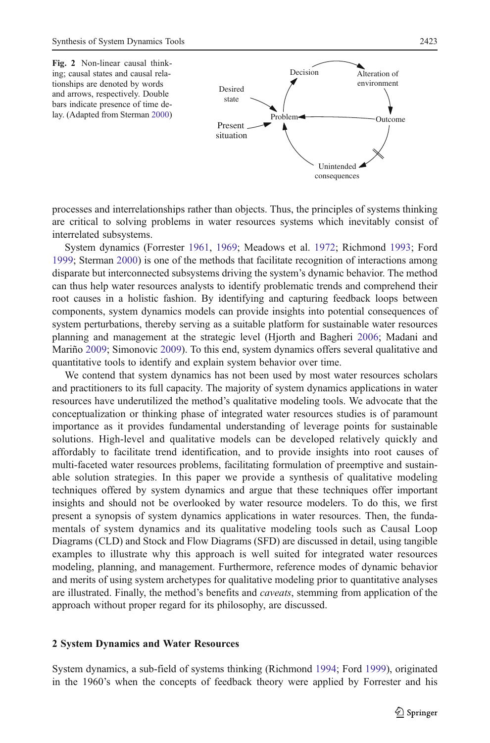

<span id="page-2-0"></span>processes and interrelationships rather than objects. Thus, the principles of systems thinking are critical to solving problems in water resources systems which inevitably consist of interrelated subsystems.

System dynamics (Forrester [1961,](#page-19-0) [1969;](#page-19-0) Meadows et al. [1972;](#page-20-0) Richmond [1993;](#page-20-0) Ford [1999;](#page-19-0) Sterman [2000\)](#page-21-0) is one of the methods that facilitate recognition of interactions among disparate but interconnected subsystems driving the system's dynamic behavior. The method can thus help water resources analysts to identify problematic trends and comprehend their root causes in a holistic fashion. By identifying and capturing feedback loops between components, system dynamics models can provide insights into potential consequences of system perturbations, thereby serving as a suitable platform for sustainable water resources planning and management at the strategic level (Hjorth and Bagheri [2006;](#page-20-0) Madani and Mariño [2009;](#page-20-0) Simonovic [2009\)](#page-20-0). To this end, system dynamics offers several qualitative and quantitative tools to identify and explain system behavior over time.

We contend that system dynamics has not been used by most water resources scholars and practitioners to its full capacity. The majority of system dynamics applications in water resources have underutilized the method's qualitative modeling tools. We advocate that the conceptualization or thinking phase of integrated water resources studies is of paramount importance as it provides fundamental understanding of leverage points for sustainable solutions. High-level and qualitative models can be developed relatively quickly and affordably to facilitate trend identification, and to provide insights into root causes of multi-faceted water resources problems, facilitating formulation of preemptive and sustainable solution strategies. In this paper we provide a synthesis of qualitative modeling techniques offered by system dynamics and argue that these techniques offer important insights and should not be overlooked by water resource modelers. To do this, we first present a synopsis of system dynamics applications in water resources. Then, the fundamentals of system dynamics and its qualitative modeling tools such as Causal Loop Diagrams (CLD) and Stock and Flow Diagrams (SFD) are discussed in detail, using tangible examples to illustrate why this approach is well suited for integrated water resources modeling, planning, and management. Furthermore, reference modes of dynamic behavior and merits of using system archetypes for qualitative modeling prior to quantitative analyses are illustrated. Finally, the method's benefits and *caveats*, stemming from application of the approach without proper regard for its philosophy, are discussed.

#### 2 System Dynamics and Water Resources

System dynamics, a sub-field of systems thinking (Richmond [1994;](#page-20-0) Ford [1999\)](#page-19-0), originated in the 1960's when the concepts of feedback theory were applied by Forrester and his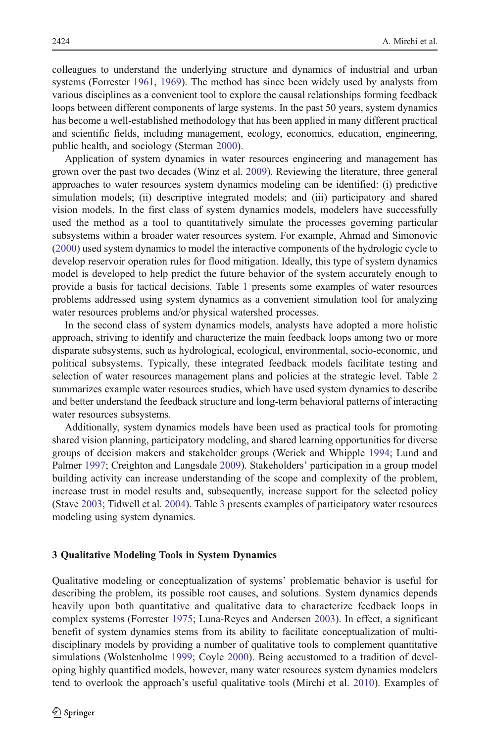colleagues to understand the underlying structure and dynamics of industrial and urban systems (Forrester [1961](#page-19-0), [1969\)](#page-19-0). The method has since been widely used by analysts from various disciplines as a convenient tool to explore the causal relationships forming feedback loops between different components of large systems. In the past 50 years, system dynamics has become a well-established methodology that has been applied in many different practical and scientific fields, including management, ecology, economics, education, engineering, public health, and sociology (Sterman [2000\)](#page-21-0).

Application of system dynamics in water resources engineering and management has grown over the past two decades (Winz et al. [2009\)](#page-21-0). Reviewing the literature, three general approaches to water resources system dynamics modeling can be identified: (i) predictive simulation models; (ii) descriptive integrated models; and (iii) participatory and shared vision models. In the first class of system dynamics models, modelers have successfully used the method as a tool to quantitatively simulate the processes governing particular subsystems within a broader water resources system. For example, Ahmad and Simonovic ([2000\)](#page-19-0) used system dynamics to model the interactive components of the hydrologic cycle to develop reservoir operation rules for flood mitigation. Ideally, this type of system dynamics model is developed to help predict the future behavior of the system accurately enough to provide a basis for tactical decisions. Table [1](#page-4-0) presents some examples of water resources problems addressed using system dynamics as a convenient simulation tool for analyzing water resources problems and/or physical watershed processes.

In the second class of system dynamics models, analysts have adopted a more holistic approach, striving to identify and characterize the main feedback loops among two or more disparate subsystems, such as hydrological, ecological, environmental, socio-economic, and political subsystems. Typically, these integrated feedback models facilitate testing and selection of water resources management plans and policies at the strategic level. Table [2](#page-5-0) summarizes example water resources studies, which have used system dynamics to describe and better understand the feedback structure and long-term behavioral patterns of interacting water resources subsystems.

Additionally, system dynamics models have been used as practical tools for promoting shared vision planning, participatory modeling, and shared learning opportunities for diverse groups of decision makers and stakeholder groups (Werick and Whipple [1994;](#page-21-0) Lund and Palmer [1997;](#page-20-0) Creighton and Langsdale [2009](#page-19-0)). Stakeholders' participation in a group model building activity can increase understanding of the scope and complexity of the problem, increase trust in model results and, subsequently, increase support for the selected policy (Stave [2003;](#page-21-0) Tidwell et al. [2004\)](#page-21-0). Table [3](#page-6-0) presents examples of participatory water resources modeling using system dynamics.

#### 3 Qualitative Modeling Tools in System Dynamics

Qualitative modeling or conceptualization of systems' problematic behavior is useful for describing the problem, its possible root causes, and solutions. System dynamics depends heavily upon both quantitative and qualitative data to characterize feedback loops in complex systems (Forrester [1975](#page-19-0); Luna-Reyes and Andersen [2003\)](#page-20-0). In effect, a significant benefit of system dynamics stems from its ability to facilitate conceptualization of multidisciplinary models by providing a number of qualitative tools to complement quantitative simulations (Wolstenholme [1999;](#page-21-0) Coyle [2000](#page-19-0)). Being accustomed to a tradition of developing highly quantified models, however, many water resources system dynamics modelers tend to overlook the approach's useful qualitative tools (Mirchi et al. [2010\)](#page-20-0). Examples of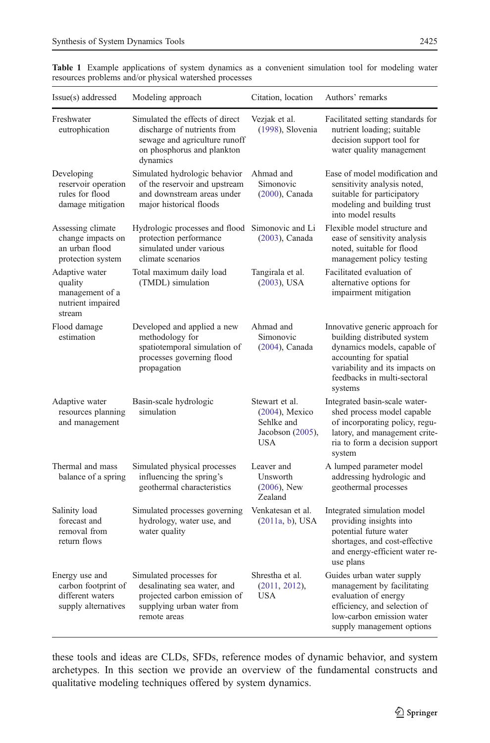| Issue(s) addressed                                                               | Modeling approach                                                                                                                         | Citation, location                                                                  | Authors' remarks                                                                                                                                                                                    |
|----------------------------------------------------------------------------------|-------------------------------------------------------------------------------------------------------------------------------------------|-------------------------------------------------------------------------------------|-----------------------------------------------------------------------------------------------------------------------------------------------------------------------------------------------------|
| Freshwater<br>eutrophication                                                     | Simulated the effects of direct<br>discharge of nutrients from<br>sewage and agriculture runoff<br>on phosphorus and plankton<br>dynamics | Vezjak et al.<br>(1998), Slovenia                                                   | Facilitated setting standards for<br>nutrient loading; suitable<br>decision support tool for<br>water quality management                                                                            |
| Developing<br>reservoir operation<br>rules for flood<br>damage mitigation        | Simulated hydrologic behavior<br>of the reservoir and upstream<br>and downstream areas under<br>major historical floods                   | Ahmad and<br>Simonovic<br>(2000), Canada                                            | Ease of model modification and<br>sensitivity analysis noted,<br>suitable for participatory<br>modeling and building trust<br>into model results                                                    |
| Assessing climate<br>change impacts on<br>an urban flood<br>protection system    | Hydrologic processes and flood Simonovic and Li<br>protection performance<br>simulated under various<br>climate scenarios                 | (2003), Canada                                                                      | Flexible model structure and<br>ease of sensitivity analysis<br>noted, suitable for flood<br>management policy testing                                                                              |
| Adaptive water<br>quality<br>management of a<br>nutrient impaired<br>stream      | Total maximum daily load<br>(TMDL) simulation                                                                                             | Tangirala et al.<br>$(2003)$ , USA                                                  | Facilitated evaluation of<br>alternative options for<br>impairment mitigation                                                                                                                       |
| Flood damage<br>estimation                                                       | Developed and applied a new<br>methodology for<br>spatiotemporal simulation of<br>processes governing flood<br>propagation                | Ahmad and<br>Simonovic<br>(2004), Canada                                            | Innovative generic approach for<br>building distributed system<br>dynamics models, capable of<br>accounting for spatial<br>variability and its impacts on<br>feedbacks in multi-sectoral<br>systems |
| Adaptive water<br>resources planning<br>and management                           | Basin-scale hydrologic<br>simulation                                                                                                      | Stewart et al.<br>$(2004)$ , Mexico<br>Sehlke and<br>Jacobson (2005),<br><b>USA</b> | Integrated basin-scale water-<br>shed process model capable<br>of incorporating policy, regu-<br>latory, and management crite-<br>ria to form a decision support<br>system                          |
| Thermal and mass<br>balance of a spring                                          | Simulated physical processes<br>influencing the spring's<br>geothermal characteristics                                                    | Leaver and<br>Unsworth<br>$(2006)$ , New<br>Zealand                                 | A lumped parameter model<br>addressing hydrologic and<br>geothermal processes                                                                                                                       |
| Salinity load<br>forecast and<br>removal from<br>return flows                    | Simulated processes governing<br>hydrology, water use, and<br>water quality                                                               | Venkatesan et al.<br>$(2011a, b)$ , USA                                             | Integrated simulation model<br>providing insights into<br>potential future water<br>shortages, and cost-effective<br>and energy-efficient water re-<br>use plans                                    |
| Energy use and<br>carbon footprint of<br>different waters<br>supply alternatives | Simulated processes for<br>desalinating sea water, and<br>projected carbon emission of<br>supplying urban water from<br>remote areas      | Shrestha et al.<br>(2011, 2012),<br><b>USA</b>                                      | Guides urban water supply<br>management by facilitating<br>evaluation of energy<br>efficiency, and selection of<br>low-carbon emission water<br>supply management options                           |

<span id="page-4-0"></span>Table 1 Example applications of system dynamics as a convenient simulation tool for modeling water resources problems and/or physical watershed processes

these tools and ideas are CLDs, SFDs, reference modes of dynamic behavior, and system archetypes. In this section we provide an overview of the fundamental constructs and qualitative modeling techniques offered by system dynamics.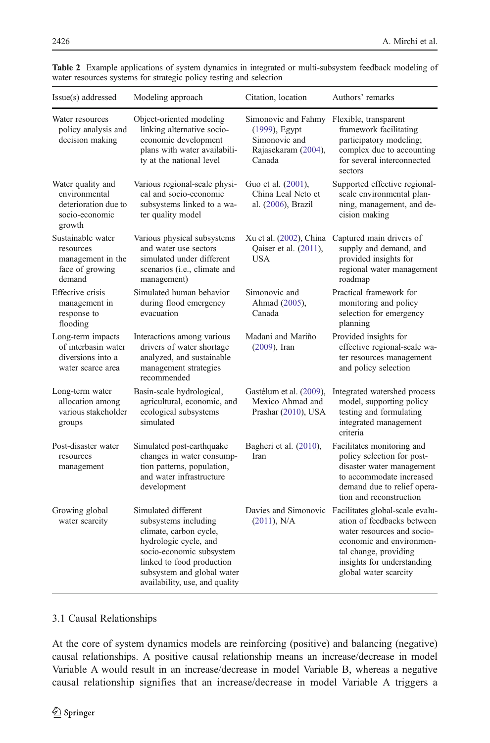| Issue(s) addressed                                                                     | Modeling approach                                                                                                                                                                                                       | Citation, location                                                                     | Authors' remarks                                                                                                                                                                                                             |
|----------------------------------------------------------------------------------------|-------------------------------------------------------------------------------------------------------------------------------------------------------------------------------------------------------------------------|----------------------------------------------------------------------------------------|------------------------------------------------------------------------------------------------------------------------------------------------------------------------------------------------------------------------------|
| Water resources<br>policy analysis and<br>decision making                              | Object-oriented modeling<br>linking alternative socio-<br>economic development<br>plans with water availabili-<br>ty at the national level                                                                              | Simonovic and Fahmy<br>(1999), Egypt<br>Simonovic and<br>Rajasekaram (2004),<br>Canada | Flexible, transparent<br>framework facilitating<br>participatory modeling;<br>complex due to accounting<br>for several interconnected<br>sectors                                                                             |
| Water quality and<br>environmental<br>deterioration due to<br>socio-economic<br>growth | Various regional-scale physi-<br>cal and socio-economic<br>subsystems linked to a wa-<br>ter quality model                                                                                                              | Guo et al. (2001),<br>China Leal Neto et<br>al. (2006), Brazil                         | Supported effective regional-<br>scale environmental plan-<br>ning, management, and de-<br>cision making                                                                                                                     |
| Sustainable water<br>resources<br>management in the<br>face of growing<br>demand       | Various physical subsystems<br>and water use sectors<br>simulated under different<br>scenarios ( <i>i.e.</i> , <i>climate and</i><br>management)                                                                        | Xu et al. (2002), China<br>Qaiser et al. (2011),<br><b>USA</b>                         | Captured main drivers of<br>supply and demand, and<br>provided insights for<br>regional water management<br>roadmap                                                                                                          |
| Effective crisis<br>management in<br>response to<br>flooding                           | Simulated human behavior<br>during flood emergency<br>evacuation                                                                                                                                                        | Simonovic and<br>Ahmad (2005),<br>Canada                                               | Practical framework for<br>monitoring and policy<br>selection for emergency<br>planning                                                                                                                                      |
| Long-term impacts<br>of interbasin water<br>diversions into a<br>water scarce area     | Interactions among various<br>drivers of water shortage<br>analyzed, and sustainable<br>management strategies<br>recommended                                                                                            | Madani and Mariño<br>$(2009)$ , Iran                                                   | Provided insights for<br>effective regional-scale wa-<br>ter resources management<br>and policy selection                                                                                                                    |
| Long-term water<br>allocation among<br>various stakeholder<br>groups                   | Basin-scale hydrological,<br>agricultural, economic, and<br>ecological subsystems<br>simulated                                                                                                                          | Gastélum et al. (2009),<br>Mexico Ahmad and<br>Prashar (2010), USA                     | Integrated watershed process<br>model, supporting policy<br>testing and formulating<br>integrated management<br>criteria                                                                                                     |
| Post-disaster water<br>resources<br>management                                         | Simulated post-earthquake<br>changes in water consump-<br>tion patterns, population,<br>and water infrastructure<br>development                                                                                         | Bagheri et al. (2010),<br>Iran                                                         | Facilitates monitoring and<br>policy selection for post-<br>disaster water management<br>to accommodate increased<br>demand due to relief opera-<br>tion and reconstruction                                                  |
| Growing global<br>water scarcity                                                       | Simulated different<br>subsystems including<br>climate, carbon cycle,<br>hydrologic cycle, and<br>socio-economic subsystem<br>linked to food production<br>subsystem and global water<br>availability, use, and quality | $(2011)$ , N/A                                                                         | Davies and Simonovic Facilitates global-scale evalu-<br>ation of feedbacks between<br>water resources and socio-<br>economic and environmen-<br>tal change, providing<br>insights for understanding<br>global water scarcity |

<span id="page-5-0"></span>Table 2 Example applications of system dynamics in integrated or multi-subsystem feedback modeling of water resources systems for strategic policy testing and selection

# 3.1 Causal Relationships

At the core of system dynamics models are reinforcing (positive) and balancing (negative) causal relationships. A positive causal relationship means an increase/decrease in model Variable A would result in an increase/decrease in model Variable B, whereas a negative causal relationship signifies that an increase/decrease in model Variable A triggers a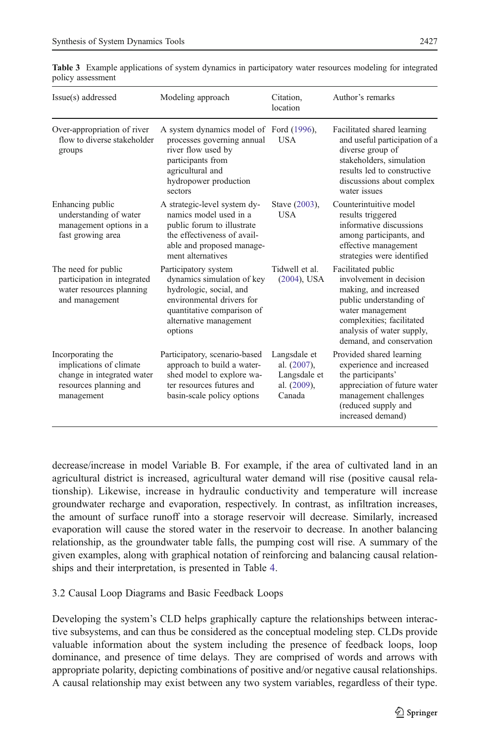| Issue(s) addressed                                                                                                 | Modeling approach                                                                                                                                                             | Citation.<br>location                                                | Author's remarks                                                                                                                                                                                            |
|--------------------------------------------------------------------------------------------------------------------|-------------------------------------------------------------------------------------------------------------------------------------------------------------------------------|----------------------------------------------------------------------|-------------------------------------------------------------------------------------------------------------------------------------------------------------------------------------------------------------|
| Over-appropriation of river<br>flow to diverse stakeholder<br>groups                                               | A system dynamics model of Ford (1996),<br>processes governing annual<br>river flow used by<br>participants from<br>agricultural and<br>hydropower production<br>sectors      | <b>USA</b>                                                           | Facilitated shared learning<br>and useful participation of a<br>diverse group of<br>stakeholders, simulation<br>results led to constructive<br>discussions about complex<br>water issues                    |
| Enhancing public<br>understanding of water<br>management options in a<br>fast growing area                         | A strategic-level system dy-<br>namics model used in a<br>public forum to illustrate<br>the effectiveness of avail-<br>able and proposed manage-<br>ment alternatives         | Stave (2003),<br><b>USA</b>                                          | Counterintuitive model<br>results triggered<br>informative discussions<br>among participants, and<br>effective management<br>strategies were identified                                                     |
| The need for public<br>participation in integrated<br>water resources planning<br>and management                   | Participatory system<br>dynamics simulation of key<br>hydrologic, social, and<br>environmental drivers for<br>quantitative comparison of<br>alternative management<br>options | Tidwell et al.<br>$(2004)$ , USA                                     | Facilitated public<br>involvement in decision<br>making, and increased<br>public understanding of<br>water management<br>complexities; facilitated<br>analysis of water supply,<br>demand, and conservation |
| Incorporating the<br>implications of climate<br>change in integrated water<br>resources planning and<br>management | Participatory, scenario-based<br>approach to build a water-<br>shed model to explore wa-<br>ter resources futures and<br>basin-scale policy options                           | Langsdale et<br>al. (2007),<br>Langsdale et<br>al. (2009),<br>Canada | Provided shared learning<br>experience and increased<br>the participants'<br>appreciation of future water<br>management challenges<br>(reduced supply and<br>increased demand)                              |

<span id="page-6-0"></span>Table 3 Example applications of system dynamics in participatory water resources modeling for integrated policy assessment

decrease/increase in model Variable B. For example, if the area of cultivated land in an agricultural district is increased, agricultural water demand will rise (positive causal relationship). Likewise, increase in hydraulic conductivity and temperature will increase groundwater recharge and evaporation, respectively. In contrast, as infiltration increases, the amount of surface runoff into a storage reservoir will decrease. Similarly, increased evaporation will cause the stored water in the reservoir to decrease. In another balancing relationship, as the groundwater table falls, the pumping cost will rise. A summary of the given examples, along with graphical notation of reinforcing and balancing causal relationships and their interpretation, is presented in Table [4.](#page-7-0)

### 3.2 Causal Loop Diagrams and Basic Feedback Loops

Developing the system's CLD helps graphically capture the relationships between interactive subsystems, and can thus be considered as the conceptual modeling step. CLDs provide valuable information about the system including the presence of feedback loops, loop dominance, and presence of time delays. They are comprised of words and arrows with appropriate polarity, depicting combinations of positive and/or negative causal relationships. A causal relationship may exist between any two system variables, regardless of their type.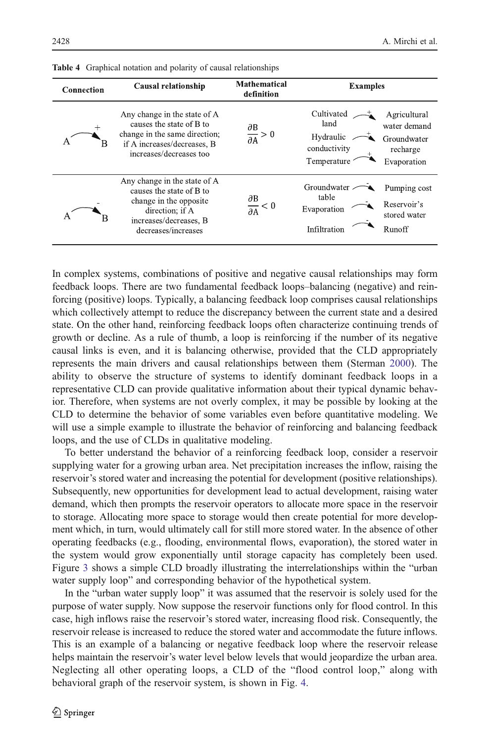| Connection     | Causal relationship                                                                                                                                     | <b>Mathematical</b><br>definition                   | <b>Examples</b>                                                                                                                          |
|----------------|---------------------------------------------------------------------------------------------------------------------------------------------------------|-----------------------------------------------------|------------------------------------------------------------------------------------------------------------------------------------------|
| $^+$<br>В<br>A | Any change in the state of A<br>causes the state of B to<br>change in the same direction:<br>if A increases/decreases, B<br>increases/decreases too     | $\frac{\partial \mathbf{B}}{\partial \mathbf{A}}>0$ | Cultivated<br>Agricultural<br>land<br>water demand<br>Hydraulic<br>Groundwater<br>conductivity<br>recharge<br>Temperature<br>Evaporation |
| В              | Any change in the state of A<br>causes the state of B to<br>change in the opposite.<br>direction; if A<br>increases/decreases, B<br>decreases/increases | $\partial B$<br>$\frac{1}{\partial A} < 0$          | Groundwater<br>Pumping cost<br>table<br>Reservoir's<br>Evaporation<br>stored water<br>Infiltration<br>Runoff                             |

<span id="page-7-0"></span>

| Table 4 Graphical notation and polarity of causal relationships |  |
|-----------------------------------------------------------------|--|
|-----------------------------------------------------------------|--|

In complex systems, combinations of positive and negative causal relationships may form feedback loops. There are two fundamental feedback loops–balancing (negative) and reinforcing (positive) loops. Typically, a balancing feedback loop comprises causal relationships which collectively attempt to reduce the discrepancy between the current state and a desired state. On the other hand, reinforcing feedback loops often characterize continuing trends of growth or decline. As a rule of thumb, a loop is reinforcing if the number of its negative causal links is even, and it is balancing otherwise, provided that the CLD appropriately represents the main drivers and causal relationships between them (Sterman [2000\)](#page-21-0). The ability to observe the structure of systems to identify dominant feedback loops in a representative CLD can provide qualitative information about their typical dynamic behavior. Therefore, when systems are not overly complex, it may be possible by looking at the CLD to determine the behavior of some variables even before quantitative modeling. We will use a simple example to illustrate the behavior of reinforcing and balancing feedback loops, and the use of CLDs in qualitative modeling.

To better understand the behavior of a reinforcing feedback loop, consider a reservoir supplying water for a growing urban area. Net precipitation increases the inflow, raising the reservoir's stored water and increasing the potential for development (positive relationships). Subsequently, new opportunities for development lead to actual development, raising water demand, which then prompts the reservoir operators to allocate more space in the reservoir to storage. Allocating more space to storage would then create potential for more development which, in turn, would ultimately call for still more stored water. In the absence of other operating feedbacks (e.g., flooding, environmental flows, evaporation), the stored water in the system would grow exponentially until storage capacity has completely been used. Figure [3](#page-8-0) shows a simple CLD broadly illustrating the interrelationships within the "urban water supply loop" and corresponding behavior of the hypothetical system.

In the "urban water supply loop" it was assumed that the reservoir is solely used for the purpose of water supply. Now suppose the reservoir functions only for flood control. In this case, high inflows raise the reservoir's stored water, increasing flood risk. Consequently, the reservoir release is increased to reduce the stored water and accommodate the future inflows. This is an example of a balancing or negative feedback loop where the reservoir release helps maintain the reservoir's water level below levels that would jeopardize the urban area. Neglecting all other operating loops, a CLD of the "flood control loop," along with behavioral graph of the reservoir system, is shown in Fig. [4.](#page-8-0)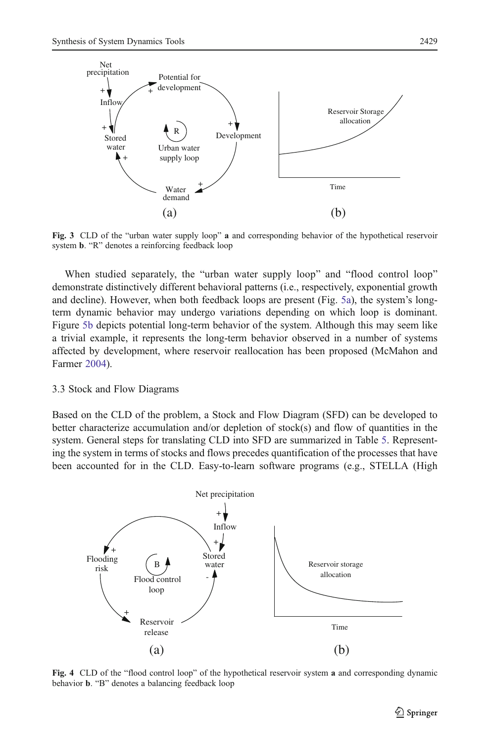<span id="page-8-0"></span>

Fig. 3 CLD of the "urban water supply loop" a and corresponding behavior of the hypothetical reservoir system b. "R" denotes a reinforcing feedback loop

When studied separately, the "urban water supply loop" and "flood control loop" demonstrate distinctively different behavioral patterns (i.e., respectively, exponential growth and decline). However, when both feedback loops are present (Fig. [5a\)](#page-9-0), the system's longterm dynamic behavior may undergo variations depending on which loop is dominant. Figure [5b](#page-9-0) depicts potential long-term behavior of the system. Although this may seem like a trivial example, it represents the long-term behavior observed in a number of systems affected by development, where reservoir reallocation has been proposed (McMahon and Farmer [2004](#page-20-0)).

### 3.3 Stock and Flow Diagrams

Based on the CLD of the problem, a Stock and Flow Diagram (SFD) can be developed to better characterize accumulation and/or depletion of stock(s) and flow of quantities in the system. General steps for translating CLD into SFD are summarized in Table [5](#page-9-0). Representing the system in terms of stocks and flows precedes quantification of the processes that have been accounted for in the CLD. Easy-to-learn software programs (e.g., STELLA (High



Fig. 4 CLD of the "flood control loop" of the hypothetical reservoir system a and corresponding dynamic behavior b. "B" denotes a balancing feedback loop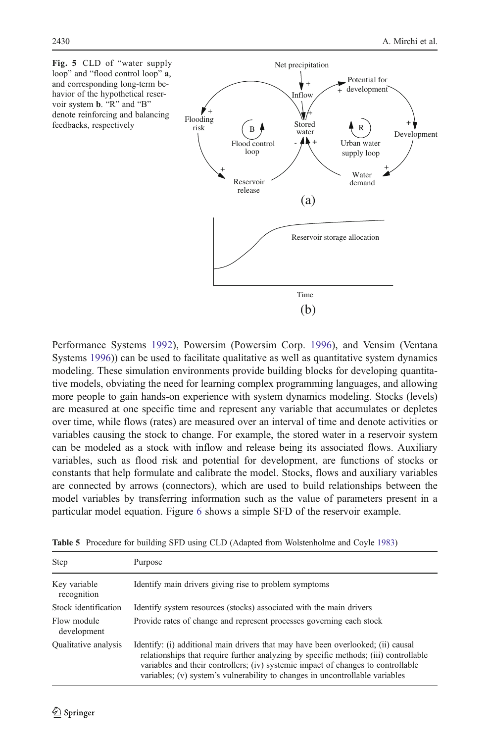<span id="page-9-0"></span>

Performance Systems [1992\)](#page-19-0), Powersim (Powersim Corp. [1996\)](#page-20-0), and Vensim (Ventana Systems [1996](#page-21-0))) can be used to facilitate qualitative as well as quantitative system dynamics modeling. These simulation environments provide building blocks for developing quantitative models, obviating the need for learning complex programming languages, and allowing more people to gain hands-on experience with system dynamics modeling. Stocks (levels) are measured at one specific time and represent any variable that accumulates or depletes over time, while flows (rates) are measured over an interval of time and denote activities or variables causing the stock to change. For example, the stored water in a reservoir system can be modeled as a stock with inflow and release being its associated flows. Auxiliary variables, such as flood risk and potential for development, are functions of stocks or constants that help formulate and calibrate the model. Stocks, flows and auxiliary variables are connected by arrows (connectors), which are used to build relationships between the model variables by transferring information such as the value of parameters present in a particular model equation. Figure [6](#page-10-0) shows a simple SFD of the reservoir example.

| Step                        | Purpose                                                                                                                                                                                                                                                                                                                                      |
|-----------------------------|----------------------------------------------------------------------------------------------------------------------------------------------------------------------------------------------------------------------------------------------------------------------------------------------------------------------------------------------|
| Key variable<br>recognition | Identify main drivers giving rise to problem symptoms                                                                                                                                                                                                                                                                                        |
| Stock identification        | Identify system resources (stocks) associated with the main drivers                                                                                                                                                                                                                                                                          |
| Flow module<br>development  | Provide rates of change and represent processes governing each stock                                                                                                                                                                                                                                                                         |
| <b>Oualitative analysis</b> | Identify: (i) additional main drivers that may have been overlooked; (ii) causal<br>relationships that require further analyzing by specific methods; (iii) controllable<br>variables and their controllers; (iv) systemic impact of changes to controllable<br>variables; (v) system's vulnerability to changes in uncontrollable variables |

Table 5 Procedure for building SFD using CLD (Adapted from Wolstenholme and Coyle [1983](#page-21-0))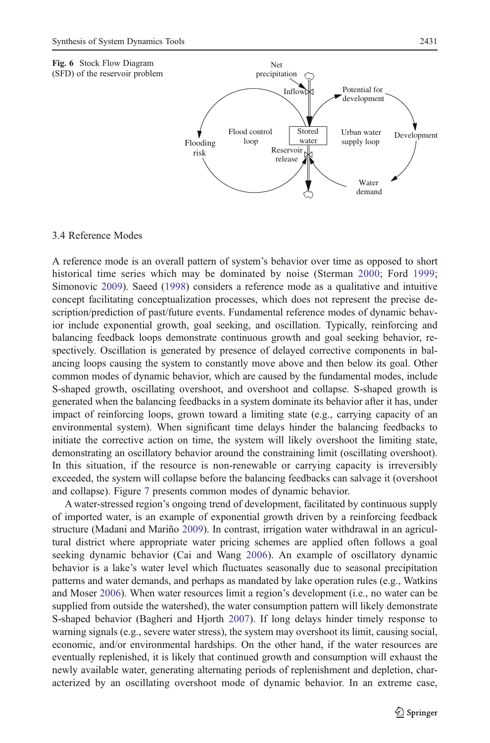<span id="page-10-0"></span>

## 3.4 Reference Modes

A reference mode is an overall pattern of system's behavior over time as opposed to short historical time series which may be dominated by noise (Sterman [2000;](#page-21-0) Ford [1999](#page-19-0); Simonovic [2009\)](#page-20-0). Saeed ([1998\)](#page-20-0) considers a reference mode as a qualitative and intuitive concept facilitating conceptualization processes, which does not represent the precise description/prediction of past/future events. Fundamental reference modes of dynamic behavior include exponential growth, goal seeking, and oscillation. Typically, reinforcing and balancing feedback loops demonstrate continuous growth and goal seeking behavior, respectively. Oscillation is generated by presence of delayed corrective components in balancing loops causing the system to constantly move above and then below its goal. Other common modes of dynamic behavior, which are caused by the fundamental modes, include S-shaped growth, oscillating overshoot, and overshoot and collapse. S-shaped growth is generated when the balancing feedbacks in a system dominate its behavior after it has, under impact of reinforcing loops, grown toward a limiting state (e.g., carrying capacity of an environmental system). When significant time delays hinder the balancing feedbacks to initiate the corrective action on time, the system will likely overshoot the limiting state, demonstrating an oscillatory behavior around the constraining limit (oscillating overshoot). In this situation, if the resource is non-renewable or carrying capacity is irreversibly exceeded, the system will collapse before the balancing feedbacks can salvage it (overshoot and collapse). Figure [7](#page-11-0) presents common modes of dynamic behavior.

A water-stressed region's ongoing trend of development, facilitated by continuous supply of imported water, is an example of exponential growth driven by a reinforcing feedback structure (Madani and Mariño [2009](#page-20-0)). In contrast, irrigation water withdrawal in an agricultural district where appropriate water pricing schemes are applied often follows a goal seeking dynamic behavior (Cai and Wang [2006](#page-19-0)). An example of oscillatory dynamic behavior is a lake's water level which fluctuates seasonally due to seasonal precipitation patterns and water demands, and perhaps as mandated by lake operation rules (e.g., Watkins and Moser [2006](#page-21-0)). When water resources limit a region's development (i.e., no water can be supplied from outside the watershed), the water consumption pattern will likely demonstrate S-shaped behavior (Bagheri and Hjorth [2007](#page-19-0)). If long delays hinder timely response to warning signals (e.g., severe water stress), the system may overshoot its limit, causing social, economic, and/or environmental hardships. On the other hand, if the water resources are eventually replenished, it is likely that continued growth and consumption will exhaust the newly available water, generating alternating periods of replenishment and depletion, characterized by an oscillating overshoot mode of dynamic behavior. In an extreme case,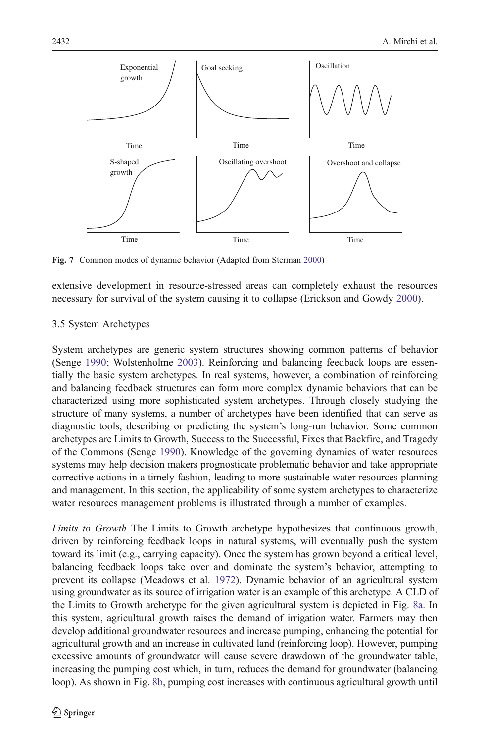<span id="page-11-0"></span>

Fig. 7 Common modes of dynamic behavior (Adapted from Sterman [2000](#page-21-0))

extensive development in resource-stressed areas can completely exhaust the resources necessary for survival of the system causing it to collapse (Erickson and Gowdy [2000\)](#page-19-0).

# 3.5 System Archetypes

System archetypes are generic system structures showing common patterns of behavior (Senge [1990](#page-20-0); Wolstenholme [2003](#page-21-0)). Reinforcing and balancing feedback loops are essentially the basic system archetypes. In real systems, however, a combination of reinforcing and balancing feedback structures can form more complex dynamic behaviors that can be characterized using more sophisticated system archetypes. Through closely studying the structure of many systems, a number of archetypes have been identified that can serve as diagnostic tools, describing or predicting the system's long-run behavior. Some common archetypes are Limits to Growth, Success to the Successful, Fixes that Backfire, and Tragedy of the Commons (Senge [1990](#page-20-0)). Knowledge of the governing dynamics of water resources systems may help decision makers prognosticate problematic behavior and take appropriate corrective actions in a timely fashion, leading to more sustainable water resources planning and management. In this section, the applicability of some system archetypes to characterize water resources management problems is illustrated through a number of examples.

Limits to Growth The Limits to Growth archetype hypothesizes that continuous growth, driven by reinforcing feedback loops in natural systems, will eventually push the system toward its limit (e.g., carrying capacity). Once the system has grown beyond a critical level, balancing feedback loops take over and dominate the system's behavior, attempting to prevent its collapse (Meadows et al. [1972](#page-20-0)). Dynamic behavior of an agricultural system using groundwater as its source of irrigation water is an example of this archetype. A CLD of the Limits to Growth archetype for the given agricultural system is depicted in Fig. [8a](#page-12-0). In this system, agricultural growth raises the demand of irrigation water. Farmers may then develop additional groundwater resources and increase pumping, enhancing the potential for agricultural growth and an increase in cultivated land (reinforcing loop). However, pumping excessive amounts of groundwater will cause severe drawdown of the groundwater table, increasing the pumping cost which, in turn, reduces the demand for groundwater (balancing loop). As shown in Fig. [8b](#page-12-0), pumping cost increases with continuous agricultural growth until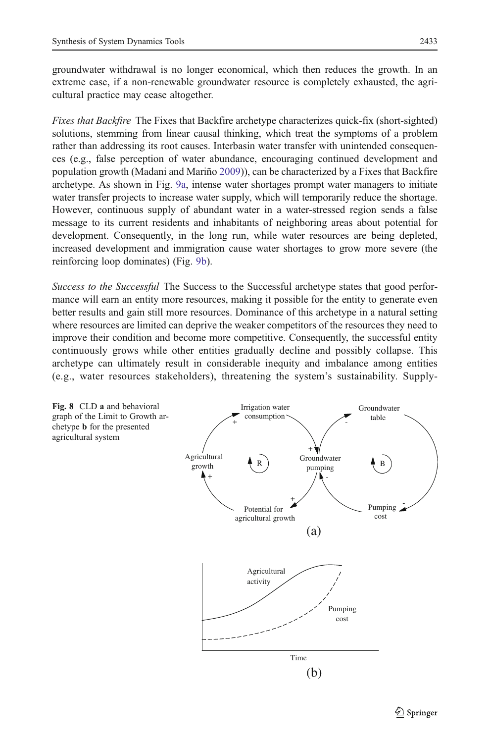<span id="page-12-0"></span>groundwater withdrawal is no longer economical, which then reduces the growth. In an extreme case, if a non-renewable groundwater resource is completely exhausted, the agricultural practice may cease altogether.

Fixes that Backfire The Fixes that Backfire archetype characterizes quick-fix (short-sighted) solutions, stemming from linear causal thinking, which treat the symptoms of a problem rather than addressing its root causes. Interbasin water transfer with unintended consequences (e.g., false perception of water abundance, encouraging continued development and population growth (Madani and Mariño [2009\)](#page-20-0)), can be characterized by a Fixes that Backfire archetype. As shown in Fig. [9a,](#page-13-0) intense water shortages prompt water managers to initiate water transfer projects to increase water supply, which will temporarily reduce the shortage. However, continuous supply of abundant water in a water-stressed region sends a false message to its current residents and inhabitants of neighboring areas about potential for development. Consequently, in the long run, while water resources are being depleted, increased development and immigration cause water shortages to grow more severe (the reinforcing loop dominates) (Fig. [9b](#page-13-0)).

Success to the Successful The Success to the Successful archetype states that good performance will earn an entity more resources, making it possible for the entity to generate even better results and gain still more resources. Dominance of this archetype in a natural setting where resources are limited can deprive the weaker competitors of the resources they need to improve their condition and become more competitive. Consequently, the successful entity continuously grows while other entities gradually decline and possibly collapse. This archetype can ultimately result in considerable inequity and imbalance among entities (e.g., water resources stakeholders), threatening the system's sustainability. Supply-

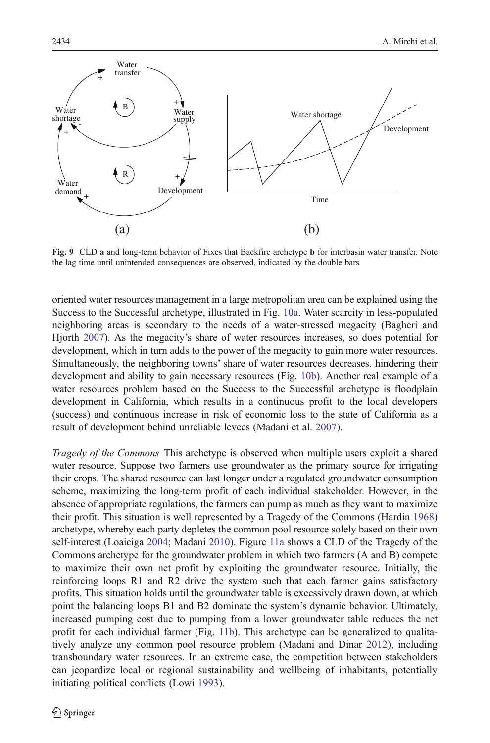<span id="page-13-0"></span>

Fig. 9 CLD a and long-term behavior of Fixes that Backfire archetype b for interbasin water transfer. Note the lag time until unintended consequences are observed, indicated by the double bars

oriented water resources management in a large metropolitan area can be explained using the Success to the Successful archetype, illustrated in Fig. [10a](#page-14-0). Water scarcity in less-populated neighboring areas is secondary to the needs of a water-stressed megacity (Bagheri and Hjorth [2007\)](#page-19-0). As the megacity's share of water resources increases, so does potential for development, which in turn adds to the power of the megacity to gain more water resources. Simultaneously, the neighboring towns' share of water resources decreases, hindering their development and ability to gain necessary resources (Fig. [10b\)](#page-14-0). Another real example of a water resources problem based on the Success to the Successful archetype is floodplain development in California, which results in a continuous profit to the local developers (success) and continuous increase in risk of economic loss to the state of California as a result of development behind unreliable levees (Madani et al. [2007](#page-20-0)).

Tragedy of the Commons This archetype is observed when multiple users exploit a shared water resource. Suppose two farmers use groundwater as the primary source for irrigating their crops. The shared resource can last longer under a regulated groundwater consumption scheme, maximizing the long-term profit of each individual stakeholder. However, in the absence of appropriate regulations, the farmers can pump as much as they want to maximize their profit. This situation is well represented by a Tragedy of the Commons (Hardin [1968\)](#page-19-0) archetype, whereby each party depletes the common pool resource solely based on their own self-interest (Loaiciga [2004;](#page-20-0) Madani [2010](#page-20-0)). Figure [11a](#page-15-0) shows a CLD of the Tragedy of the Commons archetype for the groundwater problem in which two farmers (A and B) compete to maximize their own net profit by exploiting the groundwater resource. Initially, the reinforcing loops R1 and R2 drive the system such that each farmer gains satisfactory profits. This situation holds until the groundwater table is excessively drawn down, at which point the balancing loops B1 and B2 dominate the system's dynamic behavior. Ultimately, increased pumping cost due to pumping from a lower groundwater table reduces the net profit for each individual farmer (Fig. [11b](#page-15-0)). This archetype can be generalized to qualitatively analyze any common pool resource problem (Madani and Dinar [2012\)](#page-20-0), including transboundary water resources. In an extreme case, the competition between stakeholders can jeopardize local or regional sustainability and wellbeing of inhabitants, potentially initiating political conflicts (Lowi [1993](#page-20-0)).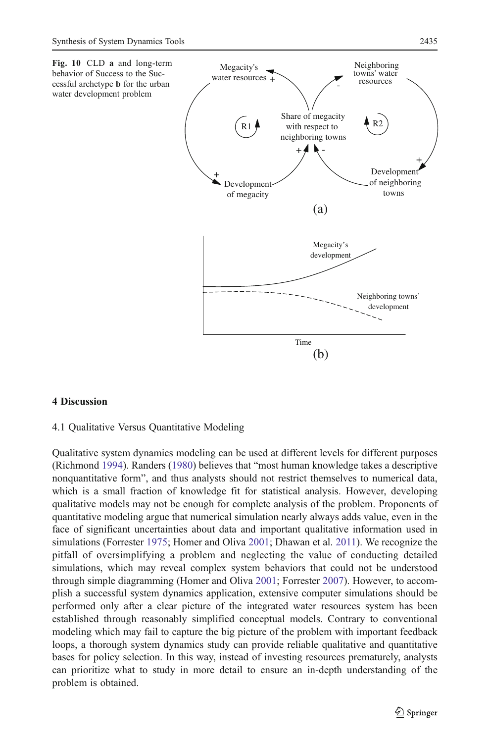<span id="page-14-0"></span>

# 4 Discussion

### 4.1 Qualitative Versus Quantitative Modeling

Qualitative system dynamics modeling can be used at different levels for different purposes (Richmond [1994](#page-20-0)). Randers [\(1980\)](#page-20-0) believes that "most human knowledge takes a descriptive nonquantitative form", and thus analysts should not restrict themselves to numerical data, which is a small fraction of knowledge fit for statistical analysis. However, developing qualitative models may not be enough for complete analysis of the problem. Proponents of quantitative modeling argue that numerical simulation nearly always adds value, even in the face of significant uncertainties about data and important qualitative information used in simulations (Forrester [1975](#page-19-0); Homer and Oliva [2001;](#page-20-0) Dhawan et al. [2011\)](#page-19-0). We recognize the pitfall of oversimplifying a problem and neglecting the value of conducting detailed simulations, which may reveal complex system behaviors that could not be understood through simple diagramming (Homer and Oliva [2001](#page-20-0); Forrester [2007](#page-19-0)). However, to accomplish a successful system dynamics application, extensive computer simulations should be performed only after a clear picture of the integrated water resources system has been established through reasonably simplified conceptual models. Contrary to conventional modeling which may fail to capture the big picture of the problem with important feedback loops, a thorough system dynamics study can provide reliable qualitative and quantitative bases for policy selection. In this way, instead of investing resources prematurely, analysts can prioritize what to study in more detail to ensure an in-depth understanding of the problem is obtained.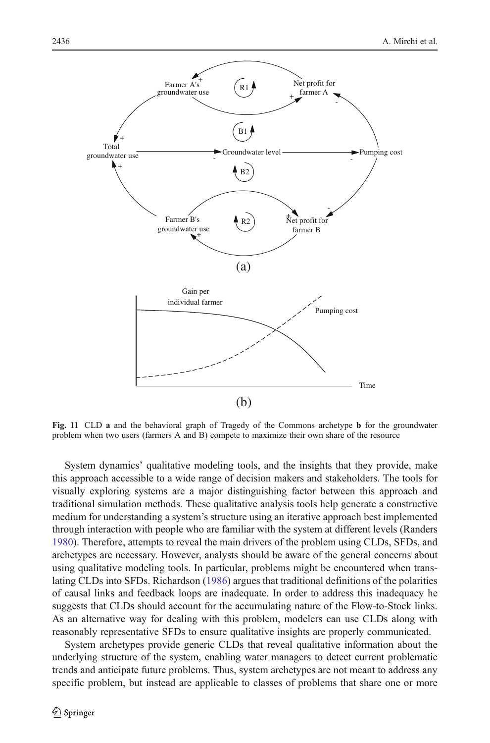<span id="page-15-0"></span>

Fig. 11 CLD a and the behavioral graph of Tragedy of the Commons archetype b for the groundwater problem when two users (farmers A and B) compete to maximize their own share of the resource

System dynamics' qualitative modeling tools, and the insights that they provide, make this approach accessible to a wide range of decision makers and stakeholders. The tools for visually exploring systems are a major distinguishing factor between this approach and traditional simulation methods. These qualitative analysis tools help generate a constructive medium for understanding a system's structure using an iterative approach best implemented through interaction with people who are familiar with the system at different levels (Randers [1980\)](#page-20-0). Therefore, attempts to reveal the main drivers of the problem using CLDs, SFDs, and archetypes are necessary. However, analysts should be aware of the general concerns about using qualitative modeling tools. In particular, problems might be encountered when translating CLDs into SFDs. Richardson ([1986\)](#page-20-0) argues that traditional definitions of the polarities of causal links and feedback loops are inadequate. In order to address this inadequacy he suggests that CLDs should account for the accumulating nature of the Flow-to-Stock links. As an alternative way for dealing with this problem, modelers can use CLDs along with reasonably representative SFDs to ensure qualitative insights are properly communicated.

System archetypes provide generic CLDs that reveal qualitative information about the underlying structure of the system, enabling water managers to detect current problematic trends and anticipate future problems. Thus, system archetypes are not meant to address any specific problem, but instead are applicable to classes of problems that share one or more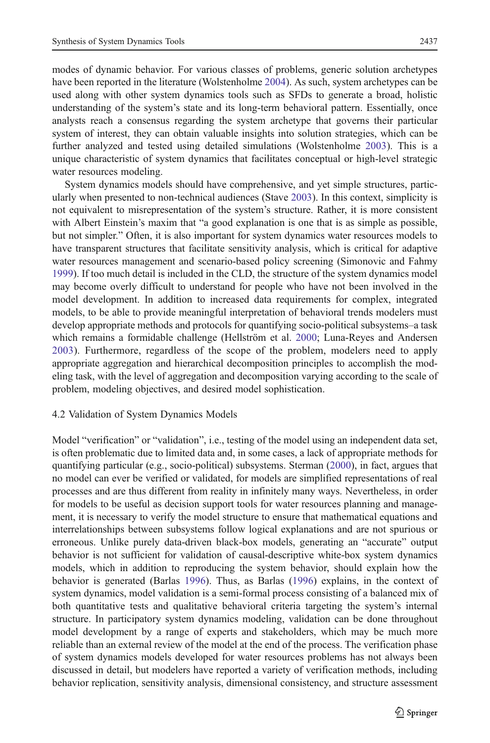modes of dynamic behavior. For various classes of problems, generic solution archetypes have been reported in the literature (Wolstenholme [2004](#page-21-0)). As such, system archetypes can be used along with other system dynamics tools such as SFDs to generate a broad, holistic understanding of the system's state and its long-term behavioral pattern. Essentially, once analysts reach a consensus regarding the system archetype that governs their particular system of interest, they can obtain valuable insights into solution strategies, which can be further analyzed and tested using detailed simulations (Wolstenholme [2003\)](#page-21-0). This is a unique characteristic of system dynamics that facilitates conceptual or high-level strategic water resources modeling.

System dynamics models should have comprehensive, and yet simple structures, particularly when presented to non-technical audiences (Stave [2003](#page-21-0)). In this context, simplicity is not equivalent to misrepresentation of the system's structure. Rather, it is more consistent with Albert Einstein's maxim that "a good explanation is one that is as simple as possible, but not simpler." Often, it is also important for system dynamics water resources models to have transparent structures that facilitate sensitivity analysis, which is critical for adaptive water resources management and scenario-based policy screening (Simonovic and Fahmy [1999\)](#page-21-0). If too much detail is included in the CLD, the structure of the system dynamics model may become overly difficult to understand for people who have not been involved in the model development. In addition to increased data requirements for complex, integrated models, to be able to provide meaningful interpretation of behavioral trends modelers must develop appropriate methods and protocols for quantifying socio-political subsystems–a task which remains a formidable challenge (Hellström et al. [2000](#page-19-0); Luna-Reyes and Andersen [2003](#page-20-0)). Furthermore, regardless of the scope of the problem, modelers need to apply appropriate aggregation and hierarchical decomposition principles to accomplish the modeling task, with the level of aggregation and decomposition varying according to the scale of problem, modeling objectives, and desired model sophistication.

#### 4.2 Validation of System Dynamics Models

Model "verification" or "validation", i.e., testing of the model using an independent data set, is often problematic due to limited data and, in some cases, a lack of appropriate methods for quantifying particular (e.g., socio-political) subsystems. Sterman [\(2000\)](#page-21-0), in fact, argues that no model can ever be verified or validated, for models are simplified representations of real processes and are thus different from reality in infinitely many ways. Nevertheless, in order for models to be useful as decision support tools for water resources planning and management, it is necessary to verify the model structure to ensure that mathematical equations and interrelationships between subsystems follow logical explanations and are not spurious or erroneous. Unlike purely data-driven black-box models, generating an "accurate" output behavior is not sufficient for validation of causal-descriptive white-box system dynamics models, which in addition to reproducing the system behavior, should explain how the behavior is generated (Barlas [1996](#page-19-0)). Thus, as Barlas [\(1996](#page-19-0)) explains, in the context of system dynamics, model validation is a semi-formal process consisting of a balanced mix of both quantitative tests and qualitative behavioral criteria targeting the system's internal structure. In participatory system dynamics modeling, validation can be done throughout model development by a range of experts and stakeholders, which may be much more reliable than an external review of the model at the end of the process. The verification phase of system dynamics models developed for water resources problems has not always been discussed in detail, but modelers have reported a variety of verification methods, including behavior replication, sensitivity analysis, dimensional consistency, and structure assessment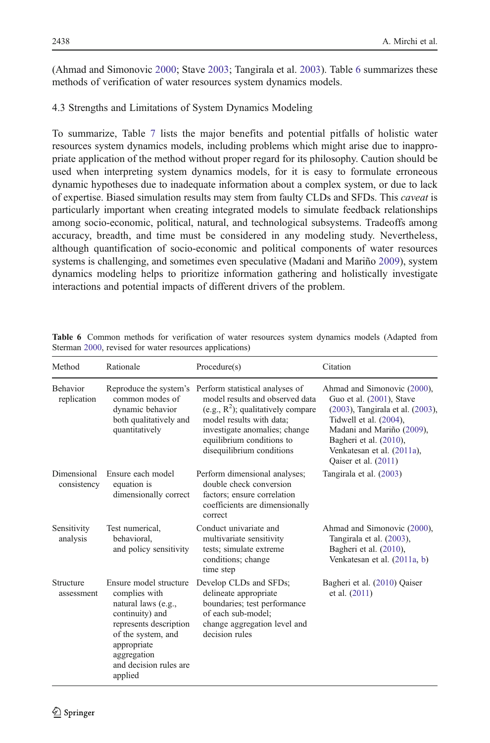(Ahmad and Simonovic [2000](#page-19-0); Stave [2003;](#page-21-0) Tangirala et al. [2003\)](#page-21-0). Table 6 summarizes these methods of verification of water resources system dynamics models.

# 4.3 Strengths and Limitations of System Dynamics Modeling

To summarize, Table [7](#page-18-0) lists the major benefits and potential pitfalls of holistic water resources system dynamics models, including problems which might arise due to inappropriate application of the method without proper regard for its philosophy. Caution should be used when interpreting system dynamics models, for it is easy to formulate erroneous dynamic hypotheses due to inadequate information about a complex system, or due to lack of expertise. Biased simulation results may stem from faulty CLDs and SFDs. This *caveat* is particularly important when creating integrated models to simulate feedback relationships among socio-economic, political, natural, and technological subsystems. Tradeoffs among accuracy, breadth, and time must be considered in any modeling study. Nevertheless, although quantification of socio-economic and political components of water resources systems is challenging, and sometimes even speculative (Madani and Mariño [2009\)](#page-20-0), system dynamics modeling helps to prioritize information gathering and holistically investigate interactions and potential impacts of different drivers of the problem.

| Method                         | Rationale                                                                                                                                                                                            | Proceedure(s)                                                                                                                                                                                                                      | Citation                                                                                                                                                                                                                           |
|--------------------------------|------------------------------------------------------------------------------------------------------------------------------------------------------------------------------------------------------|------------------------------------------------------------------------------------------------------------------------------------------------------------------------------------------------------------------------------------|------------------------------------------------------------------------------------------------------------------------------------------------------------------------------------------------------------------------------------|
| <b>Behavior</b><br>replication | Reproduce the system's<br>common modes of<br>dynamic behavior<br>both qualitatively and<br>quantitatively                                                                                            | Perform statistical analyses of<br>model results and observed data<br>(e.g., $R^2$ ); qualitatively compare<br>model results with data:<br>investigate anomalies; change<br>equilibrium conditions to<br>disequilibrium conditions | Ahmad and Simonovic (2000),<br>Guo et al. (2001), Stave<br>(2003), Tangirala et al. (2003),<br>Tidwell et al. (2004),<br>Madani and Mariño (2009),<br>Bagheri et al. (2010),<br>Venkatesan et al. (2011a),<br>Oaiser et al. (2011) |
| Dimensional<br>consistency     | Ensure each model<br>equation is<br>dimensionally correct                                                                                                                                            | Perform dimensional analyses;<br>double check conversion<br>factors; ensure correlation<br>coefficients are dimensionally<br>correct                                                                                               | Tangirala et al. (2003)                                                                                                                                                                                                            |
| Sensitivity<br>analysis        | Test numerical,<br>behavioral.<br>and policy sensitivity                                                                                                                                             | Conduct univariate and<br>multivariate sensitivity<br>tests; simulate extreme<br>conditions; change<br>time step                                                                                                                   | Ahmad and Simonovic (2000),<br>Tangirala et al. (2003).<br>Bagheri et al. (2010),<br>Venkatesan et al. (2011a, b)                                                                                                                  |
| Structure<br>assessment        | Ensure model structure<br>complies with<br>natural laws (e.g.,<br>continuity) and<br>represents description<br>of the system, and<br>appropriate<br>aggregation<br>and decision rules are<br>applied | Develop CLDs and SFDs;<br>delineate appropriate<br>boundaries; test performance<br>of each sub-model;<br>change aggregation level and<br>decision rules                                                                            | Bagheri et al. (2010) Qaiser<br>et al. (2011)                                                                                                                                                                                      |

Table 6 Common methods for verification of water resources system dynamics models (Adapted from Sterman [2000](#page-21-0), revised for water resources applications)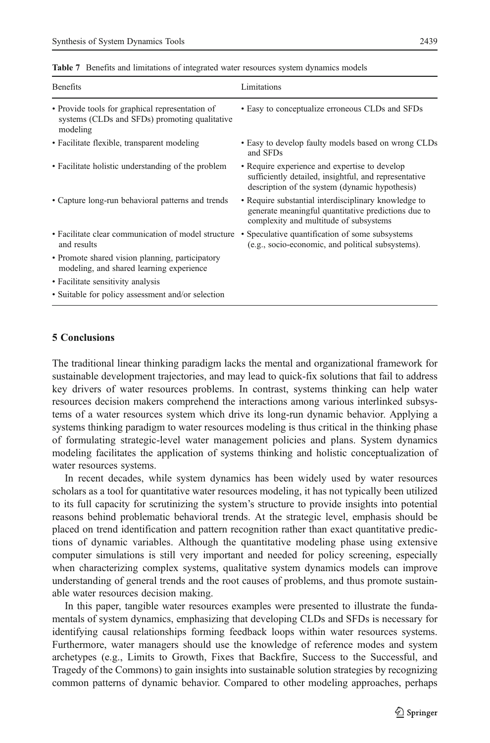| <b>Benefits</b>                                                                                              | Limitations                                                                                                                                              |
|--------------------------------------------------------------------------------------------------------------|----------------------------------------------------------------------------------------------------------------------------------------------------------|
| • Provide tools for graphical representation of<br>systems (CLDs and SFDs) promoting qualitative<br>modeling | • Easy to conceptualize erroneous CLDs and SFDs                                                                                                          |
| • Facilitate flexible, transparent modeling                                                                  | • Easy to develop faulty models based on wrong CLDs<br>and SFDs                                                                                          |
| • Facilitate holistic understanding of the problem                                                           | • Require experience and expertise to develop<br>sufficiently detailed, insightful, and representative<br>description of the system (dynamic hypothesis) |
| • Capture long-run behavioral patterns and trends                                                            | • Require substantial interdisciplinary knowledge to<br>generate meaningful quantitative predictions due to<br>complexity and multitude of subsystems    |
| · Facilitate clear communication of model structure<br>and results                                           | • Speculative quantification of some subsystems<br>(e.g., socio-economic, and political subsystems).                                                     |
| • Promote shared vision planning, participatory<br>modeling, and shared learning experience                  |                                                                                                                                                          |
| • Facilitate sensitivity analysis                                                                            |                                                                                                                                                          |
| • Suitable for policy assessment and/or selection                                                            |                                                                                                                                                          |

<span id="page-18-0"></span>Table 7 Benefits and limitations of integrated water resources system dynamics models

# 5 Conclusions

The traditional linear thinking paradigm lacks the mental and organizational framework for sustainable development trajectories, and may lead to quick-fix solutions that fail to address key drivers of water resources problems. In contrast, systems thinking can help water resources decision makers comprehend the interactions among various interlinked subsystems of a water resources system which drive its long-run dynamic behavior. Applying a systems thinking paradigm to water resources modeling is thus critical in the thinking phase of formulating strategic-level water management policies and plans. System dynamics modeling facilitates the application of systems thinking and holistic conceptualization of water resources systems.

In recent decades, while system dynamics has been widely used by water resources scholars as a tool for quantitative water resources modeling, it has not typically been utilized to its full capacity for scrutinizing the system's structure to provide insights into potential reasons behind problematic behavioral trends. At the strategic level, emphasis should be placed on trend identification and pattern recognition rather than exact quantitative predictions of dynamic variables. Although the quantitative modeling phase using extensive computer simulations is still very important and needed for policy screening, especially when characterizing complex systems, qualitative system dynamics models can improve understanding of general trends and the root causes of problems, and thus promote sustainable water resources decision making.

In this paper, tangible water resources examples were presented to illustrate the fundamentals of system dynamics, emphasizing that developing CLDs and SFDs is necessary for identifying causal relationships forming feedback loops within water resources systems. Furthermore, water managers should use the knowledge of reference modes and system archetypes (e.g., Limits to Growth, Fixes that Backfire, Success to the Successful, and Tragedy of the Commons) to gain insights into sustainable solution strategies by recognizing common patterns of dynamic behavior. Compared to other modeling approaches, perhaps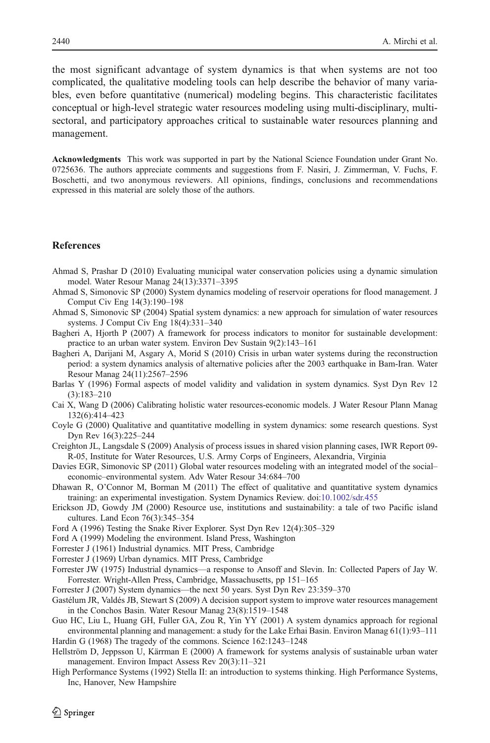<span id="page-19-0"></span>the most significant advantage of system dynamics is that when systems are not too complicated, the qualitative modeling tools can help describe the behavior of many variables, even before quantitative (numerical) modeling begins. This characteristic facilitates conceptual or high-level strategic water resources modeling using multi-disciplinary, multisectoral, and participatory approaches critical to sustainable water resources planning and management.

Acknowledgments This work was supported in part by the National Science Foundation under Grant No. 0725636. The authors appreciate comments and suggestions from F. Nasiri, J. Zimmerman, V. Fuchs, F. Boschetti, and two anonymous reviewers. All opinions, findings, conclusions and recommendations expressed in this material are solely those of the authors.

### **References**

- Ahmad S, Prashar D (2010) Evaluating municipal water conservation policies using a dynamic simulation model. Water Resour Manag 24(13):3371–3395
- Ahmad S, Simonovic SP (2000) System dynamics modeling of reservoir operations for flood management. J Comput Civ Eng 14(3):190–198
- Ahmad S, Simonovic SP (2004) Spatial system dynamics: a new approach for simulation of water resources systems. J Comput Civ Eng 18(4):331–340
- Bagheri A, Hjorth P (2007) A framework for process indicators to monitor for sustainable development: practice to an urban water system. Environ Dev Sustain 9(2):143–161

Bagheri A, Darijani M, Asgary A, Morid S (2010) Crisis in urban water systems during the reconstruction period: a system dynamics analysis of alternative policies after the 2003 earthquake in Bam-Iran. Water Resour Manag 24(11):2567–2596

- Barlas Y (1996) Formal aspects of model validity and validation in system dynamics. Syst Dyn Rev 12 (3):183–210
- Cai X, Wang D (2006) Calibrating holistic water resources-economic models. J Water Resour Plann Manag 132(6):414–423
- Coyle G (2000) Qualitative and quantitative modelling in system dynamics: some research questions. Syst Dyn Rev 16(3):225–244
- Creighton JL, Langsdale S (2009) Analysis of process issues in shared vision planning cases, IWR Report 09- R-05, Institute for Water Resources, U.S. Army Corps of Engineers, Alexandria, Virginia

Davies EGR, Simonovic SP (2011) Global water resources modeling with an integrated model of the social– economic–environmental system. Adv Water Resour 34:684–700

- Dhawan R, O'Connor M, Borman M (2011) The effect of qualitative and quantitative system dynamics training: an experimental investigation. System Dynamics Review. doi[:10.1002/sdr.455](http://dx.doi.org/10.1002/sdr.455)
- Erickson JD, Gowdy JM (2000) Resource use, institutions and sustainability: a tale of two Pacific island cultures. Land Econ 76(3):345–354
- Ford A (1996) Testing the Snake River Explorer. Syst Dyn Rev 12(4):305–329
- Ford A (1999) Modeling the environment. Island Press, Washington
- Forrester J (1961) Industrial dynamics. MIT Press, Cambridge

Forrester J (1969) Urban dynamics. MIT Press, Cambridge

- Forrester JW (1975) Industrial dynamics—a response to Ansoff and Slevin. In: Collected Papers of Jay W. Forrester. Wright-Allen Press, Cambridge, Massachusetts, pp 151–165
- Forrester J (2007) System dynamics—the next 50 years. Syst Dyn Rev 23:359–370
- Gastélum JR, Valdés JB, Stewart S (2009) A decision support system to improve water resources management in the Conchos Basin. Water Resour Manag 23(8):1519–1548
- Guo HC, Liu L, Huang GH, Fuller GA, Zou R, Yin YY (2001) A system dynamics approach for regional environmental planning and management: a study for the Lake Erhai Basin. Environ Manag 61(1):93–111 Hardin G (1968) The tragedy of the commons. Science 162:1243–1248

- Hellström D, Jeppsson U, Kärrman E (2000) A framework for systems analysis of sustainable urban water management. Environ Impact Assess Rev 20(3):11–321
- High Performance Systems (1992) Stella II: an introduction to systems thinking. High Performance Systems, Inc, Hanover, New Hampshire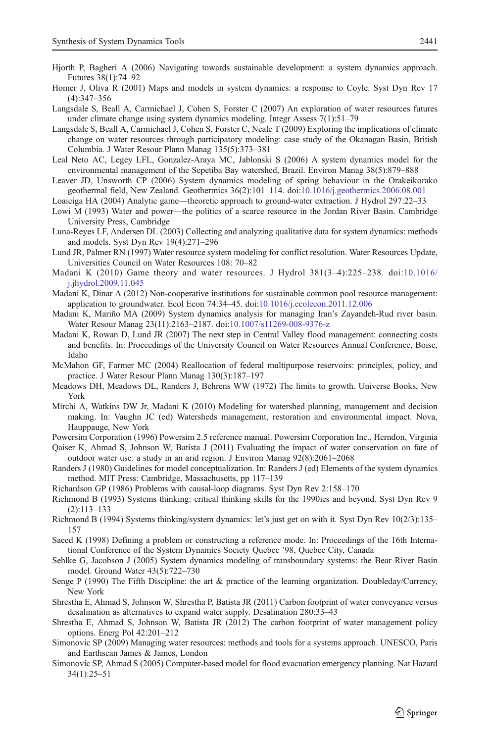- <span id="page-20-0"></span>Hjorth P, Bagheri A (2006) Navigating towards sustainable development: a system dynamics approach. Futures 38(1):74–92
- Homer J, Oliva R (2001) Maps and models in system dynamics: a response to Coyle. Syst Dyn Rev 17 (4):347–356
- Langsdale S, Beall A, Carmichael J, Cohen S, Forster C (2007) An exploration of water resources futures under climate change using system dynamics modeling. Integr Assess 7(1):51–79
- Langsdale S, Beall A, Carmichael J, Cohen S, Forster C, Neale T (2009) Exploring the implications of climate change on water resources through participatory modeling: case study of the Okanagan Basin, British Columbia. J Water Resour Plann Manag 135(5):373–381
- Leal Neto AC, Legey LFL, Gonzalez-Araya MC, Jablonski S (2006) A system dynamics model for the environmental management of the Sepetiba Bay watershed, Brazil. Environ Manag 38(5):879–888
- Leaver JD, Unsworth CP (2006) System dynamics modeling of spring behaviour in the Orakeikorako geothermal field, New Zealand. Geothermics 36(2):101–114. doi[:10.1016/j.geothermics.2006.08.001](http://dx.doi.org/10.1016/j.geothermics.2006.08.001)
- Loaiciga HA (2004) Analytic game—theoretic approach to ground-water extraction. J Hydrol 297:22–33
- Lowi M (1993) Water and power—the politics of a scarce resource in the Jordan River Basin. Cambridge University Press, Cambridge
- Luna-Reyes LF, Andersen DL (2003) Collecting and analyzing qualitative data for system dynamics: methods and models. Syst Dyn Rev 19(4):271–296
- Lund JR, Palmer RN (1997) Water resource system modeling for conflict resolution. Water Resources Update, Universities Council on Water Resources 108: 70–82
- Madani K (2010) Game theory and water resources. J Hydrol 381(3–4):225–238. doi:[10.1016/](http://dx.doi.org/10.1016/j.jhydrol.2009.11.045) [j.jhydrol.2009.11.045](http://dx.doi.org/10.1016/j.jhydrol.2009.11.045)
- Madani K, Dinar A (2012) Non-cooperative institutions for sustainable common pool resource management: application to groundwater. Ecol Econ 74:34–45. doi[:10.1016/j.ecolecon.2011.12.006](http://dx.doi.org/10.1016/j.ecolecon.2011.12.006)
- Madani K, Mariño MA (2009) System dynamics analysis for managing Iran's Zayandeh-Rud river basin. Water Resour Manag 23(11):2163–2187. doi[:10.1007/s11269-008-9376-z](http://dx.doi.org/10.1007/s11269-008-9376-z)
- Madani K, Rowan D, Lund JR (2007) The next step in Central Valley flood management: connecting costs and benefits. In: Proceedings of the University Council on Water Resources Annual Conference, Boise, Idaho
- McMahon GF, Farmer MC (2004) Reallocation of federal multipurpose reservoirs: principles, policy, and practice. J Water Resour Plann Manag 130(3):187–197
- Meadows DH, Meadows DL, Randers J, Behrens WW (1972) The limits to growth. Universe Books, New York
- Mirchi A, Watkins DW Jr, Madani K (2010) Modeling for watershed planning, management and decision making. In: Vaughn JC (ed) Watersheds management, restoration and environmental impact. Nova, Hauppauge, New York
- Powersim Corporation (1996) Powersim 2.5 reference manual. Powersim Corporation Inc., Herndon, Virginia
- Qaiser K, Ahmad S, Johnson W, Batista J (2011) Evaluating the impact of water conservation on fate of outdoor water use: a study in an arid region. J Environ Manag 92(8):2061–2068
- Randers J (1980) Guidelines for model conceptualization. In: Randers J (ed) Elements of the system dynamics method. MIT Press: Cambridge, Massachusetts, pp 117–139
- Richardson GP (1986) Problems with causal-loop diagrams. Syst Dyn Rev 2:158–170
- Richmond B (1993) Systems thinking: critical thinking skills for the 1990ies and beyond. Syst Dyn Rev 9 (2):113–133
- Richmond B (1994) Systems thinking/system dynamics: let's just get on with it. Syst Dyn Rev 10(2/3):135– 157
- Saeed K (1998) Defining a problem or constructing a reference mode. In: Proceedings of the 16th International Conference of the System Dynamics Society Quebec '98, Quebec City, Canada
- Sehlke G, Jacobson J (2005) System dynamics modeling of transboundary systems: the Bear River Basin model. Ground Water 43(5):722–730
- Senge P (1990) The Fifth Discipline: the art & practice of the learning organization. Doubleday/Currency, New York
- Shrestha E, Ahmad S, Johnson W, Shrestha P, Batista JR (2011) Carbon footprint of water conveyance versus desalination as alternatives to expand water supply. Desalination 280:33–43
- Shrestha E, Ahmad S, Johnson W, Batista JR (2012) The carbon footprint of water management policy options. Energ Pol 42:201–212
- Simonovic SP (2009) Managing water resources: methods and tools for a systems approach. UNESCO, Paris and Earthscan James & James, London
- Simonovic SP, Ahmad S (2005) Computer-based model for flood evacuation emergency planning. Nat Hazard 34(1):25–51